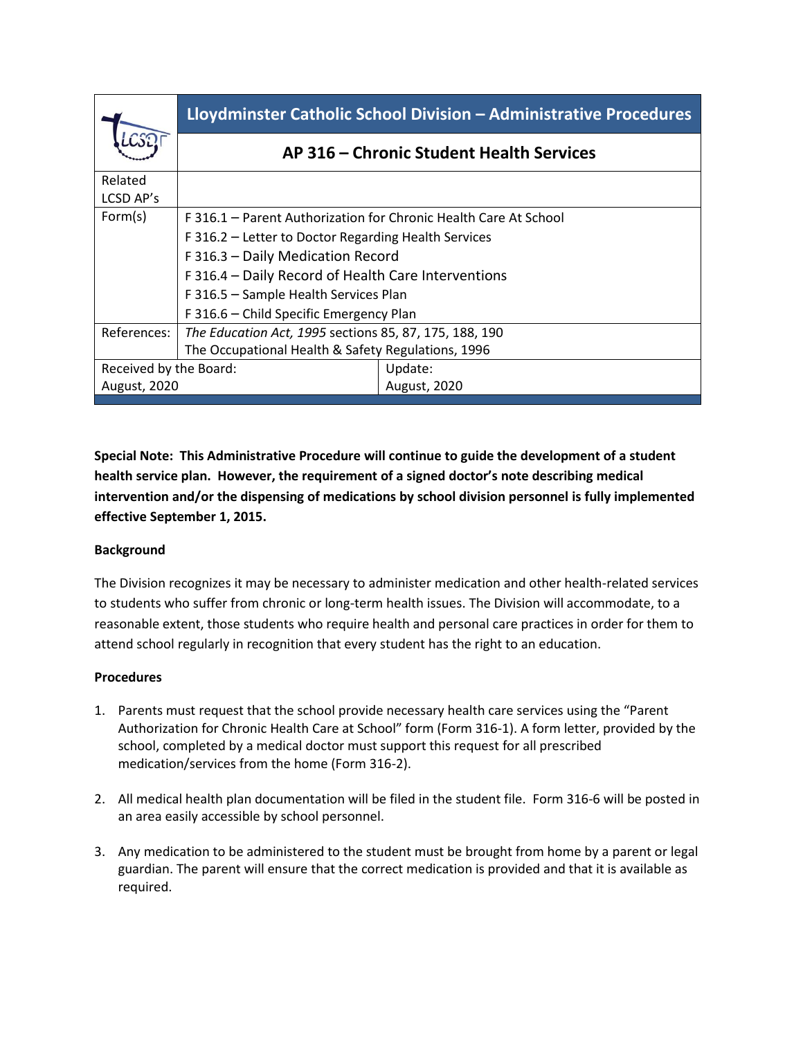|                        | Lloydminster Catholic School Division - Administrative Procedures |                     |
|------------------------|-------------------------------------------------------------------|---------------------|
|                        | AP 316 – Chronic Student Health Services                          |                     |
| Related<br>LCSD AP's   |                                                                   |                     |
| Form(s)                | F 316.1 – Parent Authorization for Chronic Health Care At School  |                     |
|                        | F 316.2 – Letter to Doctor Regarding Health Services              |                     |
|                        | F 316.3 - Daily Medication Record                                 |                     |
|                        | F 316.4 - Daily Record of Health Care Interventions               |                     |
|                        | F 316.5 - Sample Health Services Plan                             |                     |
|                        | F 316.6 - Child Specific Emergency Plan                           |                     |
| References:            | The Education Act, 1995 sections 85, 87, 175, 188, 190            |                     |
|                        | The Occupational Health & Safety Regulations, 1996                |                     |
| Received by the Board: |                                                                   | Update:             |
| <b>August, 2020</b>    |                                                                   | <b>August, 2020</b> |

**Special Note: This Administrative Procedure will continue to guide the development of a student health service plan. However, the requirement of a signed doctor's note describing medical intervention and/or the dispensing of medications by school division personnel is fully implemented effective September 1, 2015.**

## **Background**

The Division recognizes it may be necessary to administer medication and other health-related services to students who suffer from chronic or long-term health issues. The Division will accommodate, to a reasonable extent, those students who require health and personal care practices in order for them to attend school regularly in recognition that every student has the right to an education.

## **Procedures**

- 1. Parents must request that the school provide necessary health care services using the "Parent Authorization for Chronic Health Care at School" form (Form 316-1). A form letter, provided by the school, completed by a medical doctor must support this request for all prescribed medication/services from the home (Form 316-2).
- 2. All medical health plan documentation will be filed in the student file. Form 316-6 will be posted in an area easily accessible by school personnel.
- 3. Any medication to be administered to the student must be brought from home by a parent or legal guardian. The parent will ensure that the correct medication is provided and that it is available as required.